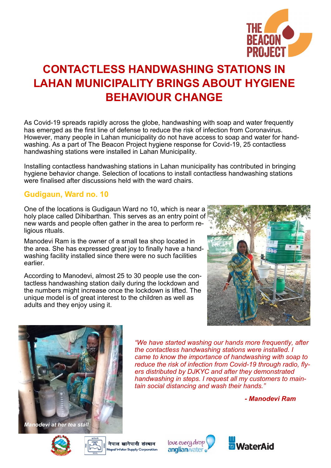

# **CONTACTLESS HANDWASHING STATIONS IN LAHAN MUNICIPALITY BRINGS ABOUT HYGIENE BEHAVIOUR CHANGE**

As Covid-19 spreads rapidly across the globe, handwashing with soap and water frequently has emerged as the first line of defense to reduce the risk of infection from Coronavirus. However, many people in Lahan municipality do not have access to soap and water for handwashing. As a part of The Beacon Project hygiene response for Covid-19, 25 contactless handwashing stations were installed in Lahan Municipality.

Installing contactless handwashing stations in Lahan municipality has contributed in bringing hygiene behavior change. Selection of locations to install contactless handwashing stations were finalised after discussions held with the ward chairs.

## **Gudigaun, Ward no. 10**

One of the locations is Gudigaun Ward no 10, which is near a holy place called Dihibarthan. This serves as an entry point of new wards and people often gather in the area to perform religious rituals.

Manodevi Ram is the owner of a small tea shop located in the area. She has expressed great joy to finally have a handwashing facility installed since there were no such facilities earlier.

According to Manodevi, almost 25 to 30 people use the contactless handwashing station daily during the lockdown and the numbers might increase once the lockdown is lifted. The unique model is of great interest to the children as well as adults and they enjoy using it.





*"We have started washing our hands more frequently, after the contactless handwashing stations were installed. I came to know the importance of handwashing with soap to reduce the risk of infection from Covid-19 through radio, flyers distributed by DJKYC and after they demonstrated handwashing in steps. I request all my customers to maintain social distancing and wash their hands."* 

*- Manodevi Ram*





love every drop anglianwater